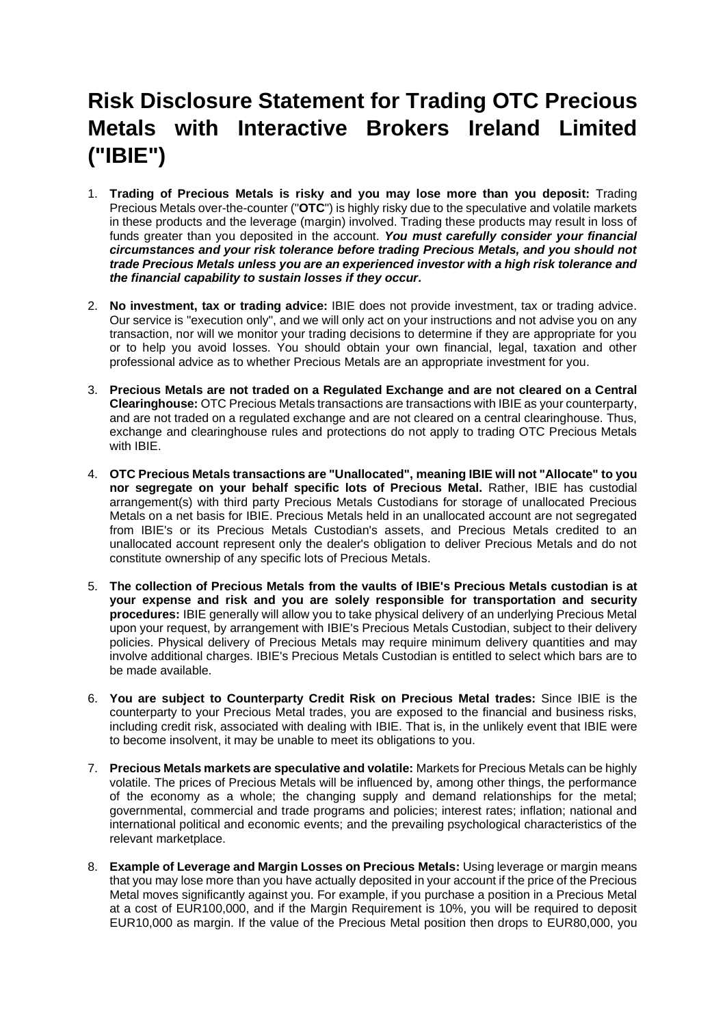## **Risk Disclosure Statement for Trading OTC Precious Metals with Interactive Brokers Ireland Limited ("IBIE")**

- 1. **Trading of Precious Metals is risky and you may lose more than you deposit:** Trading Precious Metals over-the-counter ("**OTC**") is highly risky due to the speculative and volatile markets in these products and the leverage (margin) involved. Trading these products may result in loss of funds greater than you deposited in the account. *You must carefully consider your financial circumstances and your risk tolerance before trading Precious Metals, and you should not trade Precious Metals unless you are an experienced investor with a high risk tolerance and the financial capability to sustain losses if they occur.*
- 2. **No investment, tax or trading advice:** IBIE does not provide investment, tax or trading advice. Our service is "execution only", and we will only act on your instructions and not advise you on any transaction, nor will we monitor your trading decisions to determine if they are appropriate for you or to help you avoid losses. You should obtain your own financial, legal, taxation and other professional advice as to whether Precious Metals are an appropriate investment for you.
- 3. **Precious Metals are not traded on a Regulated Exchange and are not cleared on a Central Clearinghouse:** OTC Precious Metals transactions are transactions with IBIE as your counterparty, and are not traded on a regulated exchange and are not cleared on a central clearinghouse. Thus, exchange and clearinghouse rules and protections do not apply to trading OTC Precious Metals with IBIE.
- 4. **OTC Precious Metals transactions are "Unallocated", meaning IBIE will not "Allocate" to you nor segregate on your behalf specific lots of Precious Metal.** Rather, IBIE has custodial arrangement(s) with third party Precious Metals Custodians for storage of unallocated Precious Metals on a net basis for IBIE. Precious Metals held in an unallocated account are not segregated from IBIE's or its Precious Metals Custodian's assets, and Precious Metals credited to an unallocated account represent only the dealer's obligation to deliver Precious Metals and do not constitute ownership of any specific lots of Precious Metals.
- 5. **The collection of Precious Metals from the vaults of IBIE's Precious Metals custodian is at your expense and risk and you are solely responsible for transportation and security procedures:** IBIE generally will allow you to take physical delivery of an underlying Precious Metal upon your request, by arrangement with IBIE's Precious Metals Custodian, subject to their delivery policies. Physical delivery of Precious Metals may require minimum delivery quantities and may involve additional charges. IBIE's Precious Metals Custodian is entitled to select which bars are to be made available.
- 6. **You are subject to Counterparty Credit Risk on Precious Metal trades:** Since IBIE is the counterparty to your Precious Metal trades, you are exposed to the financial and business risks, including credit risk, associated with dealing with IBIE. That is, in the unlikely event that IBIE were to become insolvent, it may be unable to meet its obligations to you.
- 7. **Precious Metals markets are speculative and volatile:** Markets for Precious Metals can be highly volatile. The prices of Precious Metals will be influenced by, among other things, the performance of the economy as a whole; the changing supply and demand relationships for the metal; governmental, commercial and trade programs and policies; interest rates; inflation; national and international political and economic events; and the prevailing psychological characteristics of the relevant marketplace.
- 8. **Example of Leverage and Margin Losses on Precious Metals:** Using leverage or margin means that you may lose more than you have actually deposited in your account if the price of the Precious Metal moves significantly against you. For example, if you purchase a position in a Precious Metal at a cost of EUR100,000, and if the Margin Requirement is 10%, you will be required to deposit EUR10,000 as margin. If the value of the Precious Metal position then drops to EUR80,000, you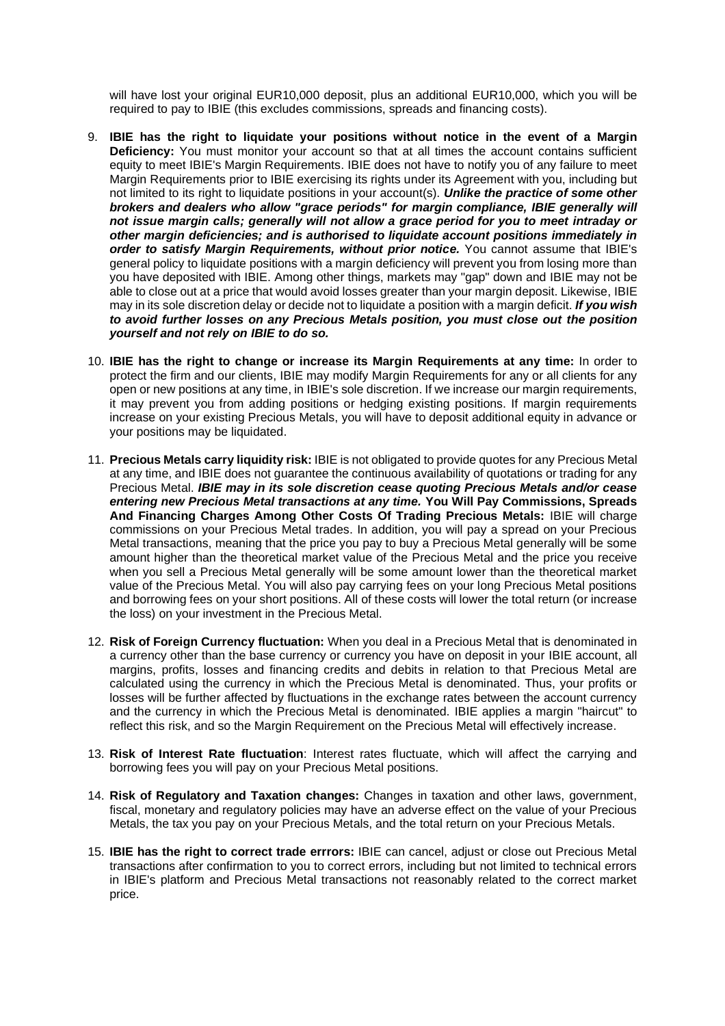will have lost your original EUR10,000 deposit, plus an additional EUR10,000, which you will be required to pay to IBIE (this excludes commissions, spreads and financing costs).

- 9. **IBIE has the right to liquidate your positions without notice in the event of a Margin Deficiency:** You must monitor your account so that at all times the account contains sufficient equity to meet IBIE's Margin Requirements. IBIE does not have to notify you of any failure to meet Margin Requirements prior to IBIE exercising its rights under its Agreement with you, including but not limited to its right to liquidate positions in your account(s). *Unlike the practice of some other brokers and dealers who allow "grace periods" for margin compliance, IBIE generally will not issue margin calls; generally will not allow a grace period for you to meet intraday or other margin deficiencies; and is authorised to liquidate account positions immediately in order to satisfy Margin Requirements, without prior notice.* You cannot assume that IBIE's general policy to liquidate positions with a margin deficiency will prevent you from losing more than you have deposited with IBIE. Among other things, markets may "gap" down and IBIE may not be able to close out at a price that would avoid losses greater than your margin deposit. Likewise, IBIE may in its sole discretion delay or decide not to liquidate a position with a margin deficit. *If you wish to avoid further losses on any Precious Metals position, you must close out the position yourself and not rely on IBIE to do so.*
- 10. **IBIE has the right to change or increase its Margin Requirements at any time:** In order to protect the firm and our clients, IBIE may modify Margin Requirements for any or all clients for any open or new positions at any time, in IBIE's sole discretion. If we increase our margin requirements, it may prevent you from adding positions or hedging existing positions. If margin requirements increase on your existing Precious Metals, you will have to deposit additional equity in advance or your positions may be liquidated.
- 11. **Precious Metals carry liquidity risk:** IBIE is not obligated to provide quotes for any Precious Metal at any time, and IBIE does not guarantee the continuous availability of quotations or trading for any Precious Metal. *IBIE may in its sole discretion cease quoting Precious Metals and/or cease entering new Precious Metal transactions at any time.* **You Will Pay Commissions, Spreads And Financing Charges Among Other Costs Of Trading Precious Metals:** IBIE will charge commissions on your Precious Metal trades. In addition, you will pay a spread on your Precious Metal transactions, meaning that the price you pay to buy a Precious Metal generally will be some amount higher than the theoretical market value of the Precious Metal and the price you receive when you sell a Precious Metal generally will be some amount lower than the theoretical market value of the Precious Metal. You will also pay carrying fees on your long Precious Metal positions and borrowing fees on your short positions. All of these costs will lower the total return (or increase the loss) on your investment in the Precious Metal.
- 12. **Risk of Foreign Currency fluctuation:** When you deal in a Precious Metal that is denominated in a currency other than the base currency or currency you have on deposit in your IBIE account, all margins, profits, losses and financing credits and debits in relation to that Precious Metal are calculated using the currency in which the Precious Metal is denominated. Thus, your profits or losses will be further affected by fluctuations in the exchange rates between the account currency and the currency in which the Precious Metal is denominated. IBIE applies a margin "haircut" to reflect this risk, and so the Margin Requirement on the Precious Metal will effectively increase.
- 13. **Risk of Interest Rate fluctuation**: Interest rates fluctuate, which will affect the carrying and borrowing fees you will pay on your Precious Metal positions.
- 14. **Risk of Regulatory and Taxation changes:** Changes in taxation and other laws, government, fiscal, monetary and regulatory policies may have an adverse effect on the value of your Precious Metals, the tax you pay on your Precious Metals, and the total return on your Precious Metals.
- 15. **IBIE has the right to correct trade errrors:** IBIE can cancel, adjust or close out Precious Metal transactions after confirmation to you to correct errors, including but not limited to technical errors in IBIE's platform and Precious Metal transactions not reasonably related to the correct market price.